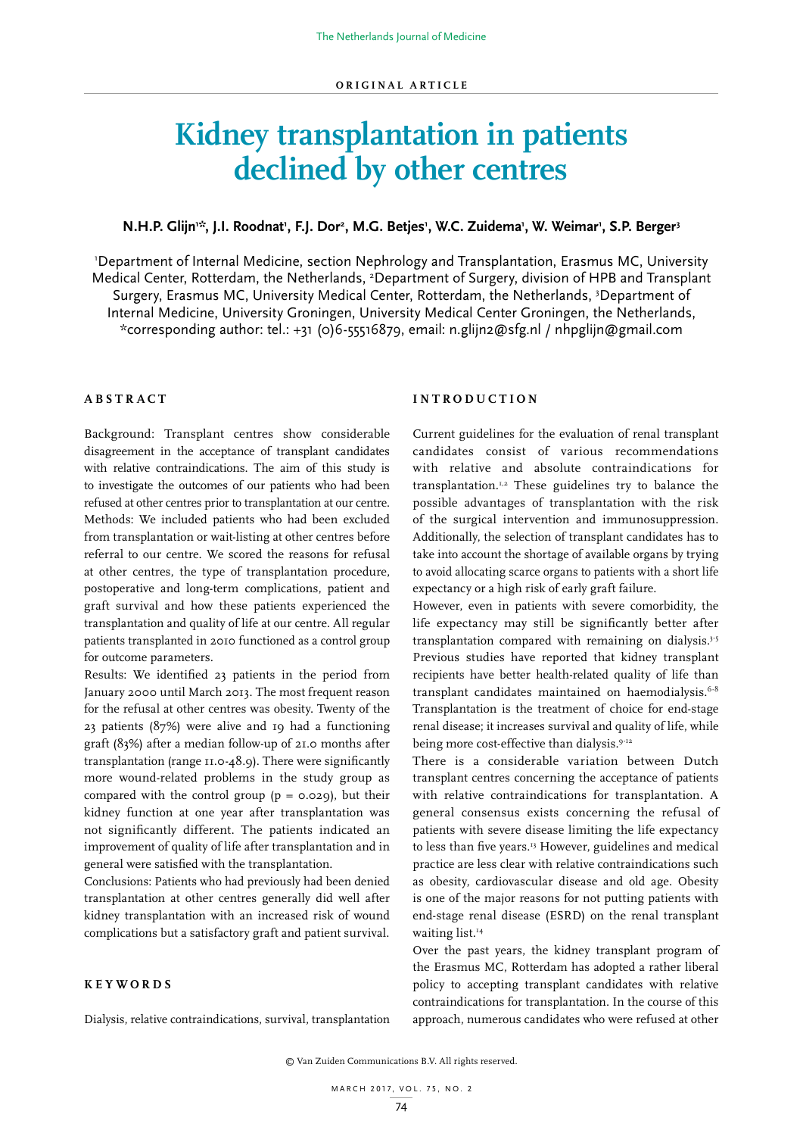# **Kidney transplantation in patients declined by other centres**

# N.H.P. Glijn<sup>1:\*</sup>, J.I. Roodnat<sup>1</sup>, F.J. Dor<sup>2</sup>, M.G. Betjes<sup>1</sup>, W.C. Zuidema<sup>1</sup>, W. Weimar<sup>1</sup>, S.P. Berger<sup>3</sup>

1 Department of Internal Medicine, section Nephrology and Transplantation, Erasmus MC, University Medical Center, Rotterdam, the Netherlands, <sup>2</sup>Department of Surgery, division of HPB and Transplant Surgery, Erasmus MC, University Medical Center, Rotterdam, the Netherlands, <sup>3</sup>Department of Internal Medicine, University Groningen, University Medical Center Groningen, the Netherlands, \*corresponding author: tel.: +31 (0)6-55516879, email: n.glijn2@sfg.nl / nhpglijn@gmail.com

# **ABSTRACT**

Background: Transplant centres show considerable disagreement in the acceptance of transplant candidates with relative contraindications. The aim of this study is to investigate the outcomes of our patients who had been refused at other centres prior to transplantation at our centre. Methods: We included patients who had been excluded from transplantation or wait-listing at other centres before referral to our centre. We scored the reasons for refusal at other centres, the type of transplantation procedure, postoperative and long-term complications, patient and graft survival and how these patients experienced the transplantation and quality of life at our centre. All regular patients transplanted in 2010 functioned as a control group for outcome parameters.

Results: We identified 23 patients in the period from January 2000 until March 2013. The most frequent reason for the refusal at other centres was obesity. Twenty of the 23 patients (87%) were alive and 19 had a functioning graft (83%) after a median follow-up of 21.0 months after transplantation (range 11.0-48.9). There were significantly more wound-related problems in the study group as compared with the control group  $(p = 0.029)$ , but their kidney function at one year after transplantation was not significantly different. The patients indicated an improvement of quality of life after transplantation and in general were satisfied with the transplantation.

Conclusions: Patients who had previously had been denied transplantation at other centres generally did well after kidney transplantation with an increased risk of wound complications but a satisfactory graft and patient survival.

### **KEYWORDS**

Dialysis, relative contraindications, survival, transplantation

# **INTRODUCTION**

Current guidelines for the evaluation of renal transplant candidates consist of various recommendations with relative and absolute contraindications for transplantation.1,2 These guidelines try to balance the possible advantages of transplantation with the risk of the surgical intervention and immunosuppression. Additionally, the selection of transplant candidates has to take into account the shortage of available organs by trying to avoid allocating scarce organs to patients with a short life expectancy or a high risk of early graft failure.

However, even in patients with severe comorbidity, the life expectancy may still be significantly better after transplantation compared with remaining on dialysis.<sup>3-5</sup> Previous studies have reported that kidney transplant recipients have better health-related quality of life than transplant candidates maintained on haemodialysis.<sup>6-8</sup> Transplantation is the treatment of choice for end-stage renal disease; it increases survival and quality of life, while being more cost-effective than dialysis.<sup>9-12</sup>

There is a considerable variation between Dutch transplant centres concerning the acceptance of patients with relative contraindications for transplantation. A general consensus exists concerning the refusal of patients with severe disease limiting the life expectancy to less than five years.<sup>13</sup> However, guidelines and medical practice are less clear with relative contraindications such as obesity, cardiovascular disease and old age. Obesity is one of the major reasons for not putting patients with end-stage renal disease (ESRD) on the renal transplant waiting list.<sup>14</sup>

Over the past years, the kidney transplant program of the Erasmus MC, Rotterdam has adopted a rather liberal policy to accepting transplant candidates with relative contraindications for transplantation. In the course of this approach, numerous candidates who were refused at other

© Van Zuiden Communications B.V. All rights reserved.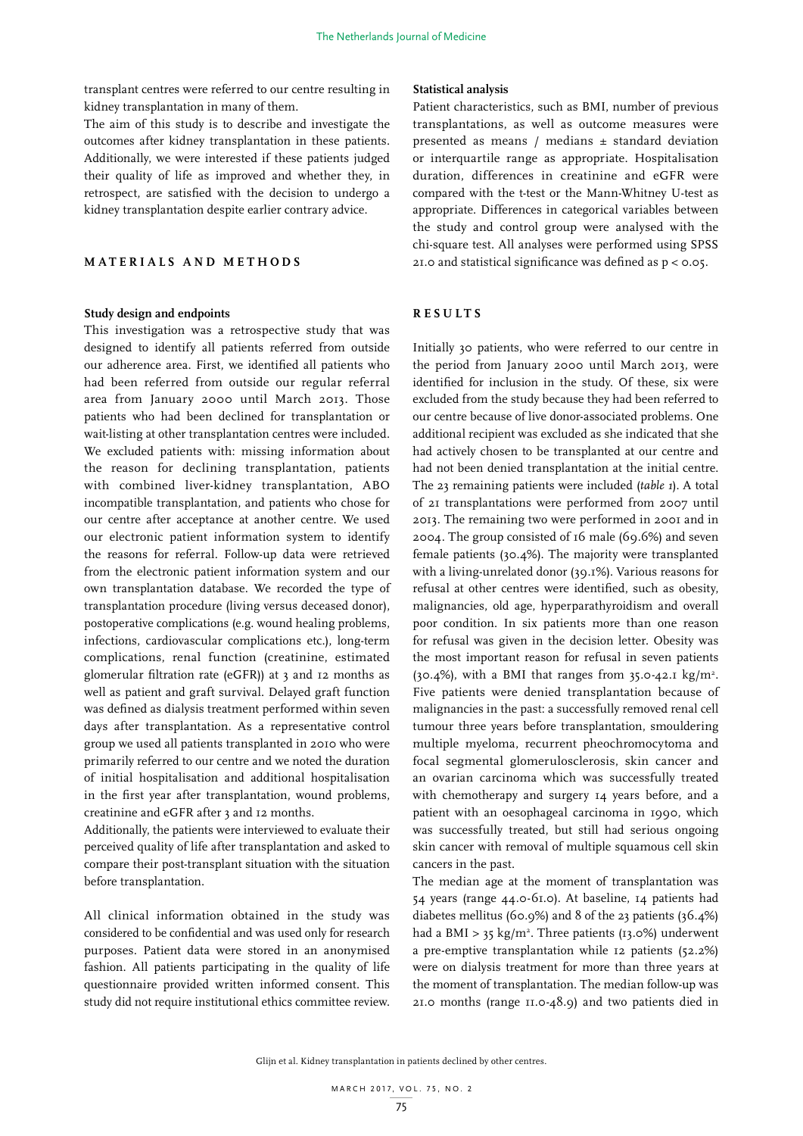transplant centres were referred to our centre resulting in kidney transplantation in many of them.

The aim of this study is to describe and investigate the outcomes after kidney transplantation in these patients. Additionally, we were interested if these patients judged their quality of life as improved and whether they, in retrospect, are satisfied with the decision to undergo a kidney transplantation despite earlier contrary advice.

# **MATERIALS AND METHODS**

#### **Study design and endpoints**

This investigation was a retrospective study that was designed to identify all patients referred from outside our adherence area. First, we identified all patients who had been referred from outside our regular referral area from January 2000 until March 2013. Those patients who had been declined for transplantation or wait-listing at other transplantation centres were included. We excluded patients with: missing information about the reason for declining transplantation, patients with combined liver-kidney transplantation, ABO incompatible transplantation, and patients who chose for our centre after acceptance at another centre. We used our electronic patient information system to identify the reasons for referral. Follow-up data were retrieved from the electronic patient information system and our own transplantation database. We recorded the type of transplantation procedure (living versus deceased donor), postoperative complications (e.g. wound healing problems, infections, cardiovascular complications etc.), long-term complications, renal function (creatinine, estimated glomerular filtration rate (eGFR)) at 3 and 12 months as well as patient and graft survival. Delayed graft function was defined as dialysis treatment performed within seven days after transplantation. As a representative control group we used all patients transplanted in 2010 who were primarily referred to our centre and we noted the duration of initial hospitalisation and additional hospitalisation in the first year after transplantation, wound problems, creatinine and eGFR after 3 and 12 months.

Additionally, the patients were interviewed to evaluate their perceived quality of life after transplantation and asked to compare their post-transplant situation with the situation before transplantation.

All clinical information obtained in the study was considered to be confidential and was used only for research purposes. Patient data were stored in an anonymised fashion. All patients participating in the quality of life questionnaire provided written informed consent. This study did not require institutional ethics committee review.

#### **Statistical analysis**

Patient characteristics, such as BMI, number of previous transplantations, as well as outcome measures were presented as means / medians ± standard deviation or interquartile range as appropriate. Hospitalisation duration, differences in creatinine and eGFR were compared with the t-test or the Mann-Whitney U-test as appropriate. Differences in categorical variables between the study and control group were analysed with the chi-square test. All analyses were performed using SPSS 21.0 and statistical significance was defined as p < 0.05.

# **RESULTS**

Initially 30 patients, who were referred to our centre in the period from January 2000 until March 2013, were identified for inclusion in the study. Of these, six were excluded from the study because they had been referred to our centre because of live donor-associated problems. One additional recipient was excluded as she indicated that she had actively chosen to be transplanted at our centre and had not been denied transplantation at the initial centre. The 23 remaining patients were included (*table 1*). A total of 21 transplantations were performed from 2007 until 2013. The remaining two were performed in 2001 and in 2004. The group consisted of 16 male (69.6%) and seven female patients (30.4%). The majority were transplanted with a living-unrelated donor (39.1%). Various reasons for refusal at other centres were identified, such as obesity, malignancies, old age, hyperparathyroidism and overall poor condition. In six patients more than one reason for refusal was given in the decision letter. Obesity was the most important reason for refusal in seven patients (30.4%), with a BMI that ranges from 35.0-42.1 kg/m<sup>2</sup>. Five patients were denied transplantation because of malignancies in the past: a successfully removed renal cell tumour three years before transplantation, smouldering multiple myeloma, recurrent pheochromocytoma and focal segmental glomerulosclerosis, skin cancer and an ovarian carcinoma which was successfully treated with chemotherapy and surgery 14 years before, and a patient with an oesophageal carcinoma in 1990, which was successfully treated, but still had serious ongoing skin cancer with removal of multiple squamous cell skin cancers in the past.

The median age at the moment of transplantation was 54 years (range 44.0-61.0). At baseline, 14 patients had diabetes mellitus (60.9%) and 8 of the 23 patients (36.4%) had a BMI >  $35 \text{ kg/m}^2$ . Three patients (13.0%) underwent a pre-emptive transplantation while 12 patients (52.2%) were on dialysis treatment for more than three years at the moment of transplantation. The median follow-up was 21.0 months (range 11.0-48.9) and two patients died in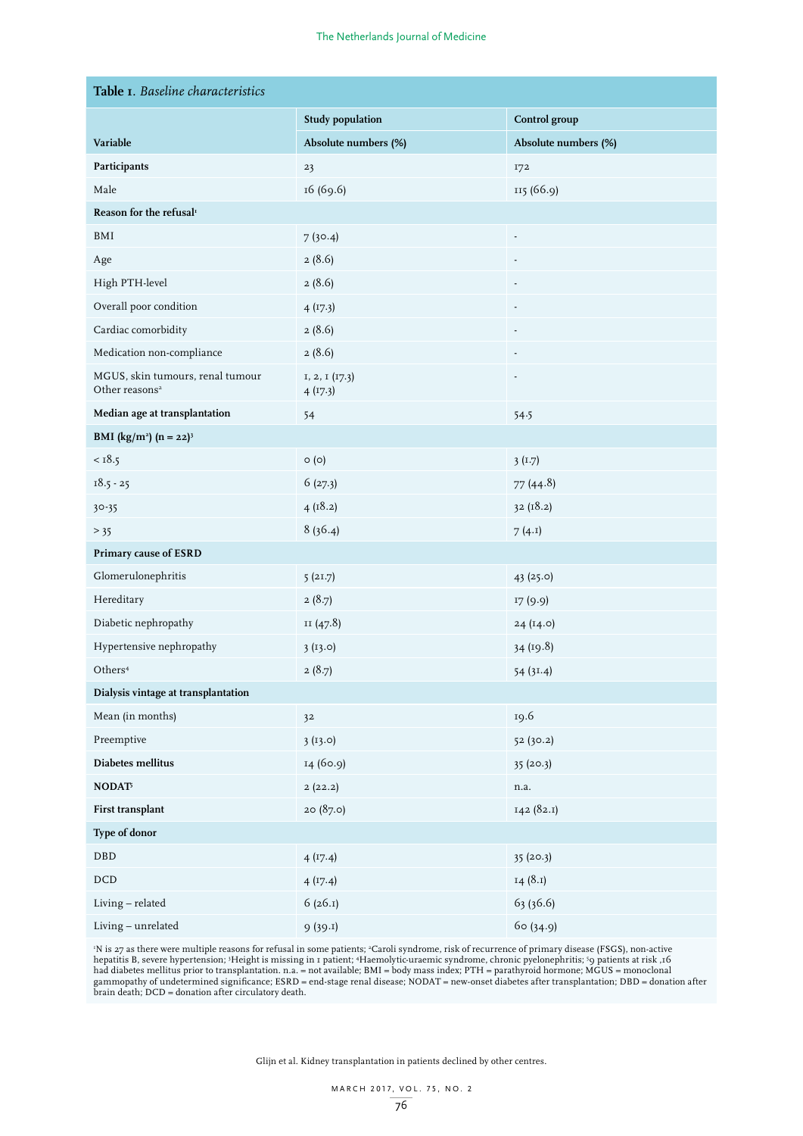| Table I. Baseline characteristics                              |                           |                      |  |  |  |  |  |  |
|----------------------------------------------------------------|---------------------------|----------------------|--|--|--|--|--|--|
|                                                                | <b>Study population</b>   | Control group        |  |  |  |  |  |  |
| Variable                                                       | Absolute numbers (%)      | Absolute numbers (%) |  |  |  |  |  |  |
| Participants                                                   | 23                        | 172                  |  |  |  |  |  |  |
| Male                                                           | 16 (69.6)                 | 115 (66.9)           |  |  |  |  |  |  |
| Reason for the refusal <sup>1</sup>                            |                           |                      |  |  |  |  |  |  |
| BMI                                                            | 7(30.4)                   | Ĭ.                   |  |  |  |  |  |  |
| Age                                                            | 2(8.6)                    |                      |  |  |  |  |  |  |
| High PTH-level                                                 | 2(8.6)                    |                      |  |  |  |  |  |  |
| Overall poor condition                                         | 4(17.3)                   |                      |  |  |  |  |  |  |
| Cardiac comorbidity                                            | 2(8.6)                    |                      |  |  |  |  |  |  |
| Medication non-compliance                                      | 2(8.6)                    |                      |  |  |  |  |  |  |
| MGUS, skin tumours, renal tumour<br>Other reasons <sup>2</sup> | 1, 2, 1 (17.3)<br>4(17.3) |                      |  |  |  |  |  |  |
| Median age at transplantation                                  | 54                        | 54.5                 |  |  |  |  |  |  |
| <b>BMI</b> (kg/m <sup>2</sup> ) (n = 22) <sup>3</sup>          |                           |                      |  |  |  |  |  |  |
| $<$ 18.5                                                       | $\circ$ (o)               | 3(1.7)               |  |  |  |  |  |  |
| $18.5 - 25$                                                    | 6(27.3)                   | 77(44.8)             |  |  |  |  |  |  |
| $30 - 35$                                                      | 4(18.2)                   | 32(18.2)             |  |  |  |  |  |  |
| $>$ 35                                                         | 8(36.4)                   | 7(4.1)               |  |  |  |  |  |  |
| Primary cause of ESRD                                          |                           |                      |  |  |  |  |  |  |
| Glomerulonephritis                                             | 5(21.7)                   | 43 (25.0)            |  |  |  |  |  |  |
| Hereditary                                                     | 2(8.7)                    | 17 (9.9)             |  |  |  |  |  |  |
| Diabetic nephropathy                                           | II (47.8)                 | 24 (14.0)            |  |  |  |  |  |  |
| Hypertensive nephropathy                                       | 3(13.0)                   | 34 (19.8)            |  |  |  |  |  |  |
| Others <sup>4</sup>                                            | 2(8.7)                    | 54 (31.4)            |  |  |  |  |  |  |
| Dialysis vintage at transplantation                            |                           |                      |  |  |  |  |  |  |
| Mean (in months)                                               | 3 <sup>2</sup>            | 19.6                 |  |  |  |  |  |  |
| Preemptive                                                     | 3(13.0)                   | 52 (30.2)            |  |  |  |  |  |  |
| Diabetes mellitus                                              | 14 (60.9)                 | 35(20.3)             |  |  |  |  |  |  |
| $\mathbf{NODAT}^\natural$                                      | 2(22.2)                   | n.a.                 |  |  |  |  |  |  |
| First transplant                                               | 20(87.0)                  | 142 (82.1)           |  |  |  |  |  |  |
| Type of donor                                                  |                           |                      |  |  |  |  |  |  |
| <b>DBD</b>                                                     | 4(17.4)                   | 35(20.3)             |  |  |  |  |  |  |
| $\rm DCD$                                                      | 4(17.4)                   | 14(8.1)              |  |  |  |  |  |  |
| Living - related                                               | 6(26.1)                   | 63 (36.6)            |  |  |  |  |  |  |
| Living - unrelated                                             | 9(39.1)                   | 60 (34.9)            |  |  |  |  |  |  |

'N is 27 as there were multiple reasons for refusal in some patients; <sup>2</sup>Caroli syndrome, risk of recurrence of primary disease (FSGS), non-active<br>hepatitis B, severe hypertension; <sup>3</sup>Height is missing in 1 patient; 4Haemo had diabetes mellitus prior to transplantation. n.a. = not available; BMI = body mass index; PTH = parathyroid hormone; MGUS = monoclonal gammopathy of undetermined significance; ESRD = end-stage renal disease; NODAT = new-onset diabetes after transplantation; DBD = donation after brain death; DCD = donation after circulatory death.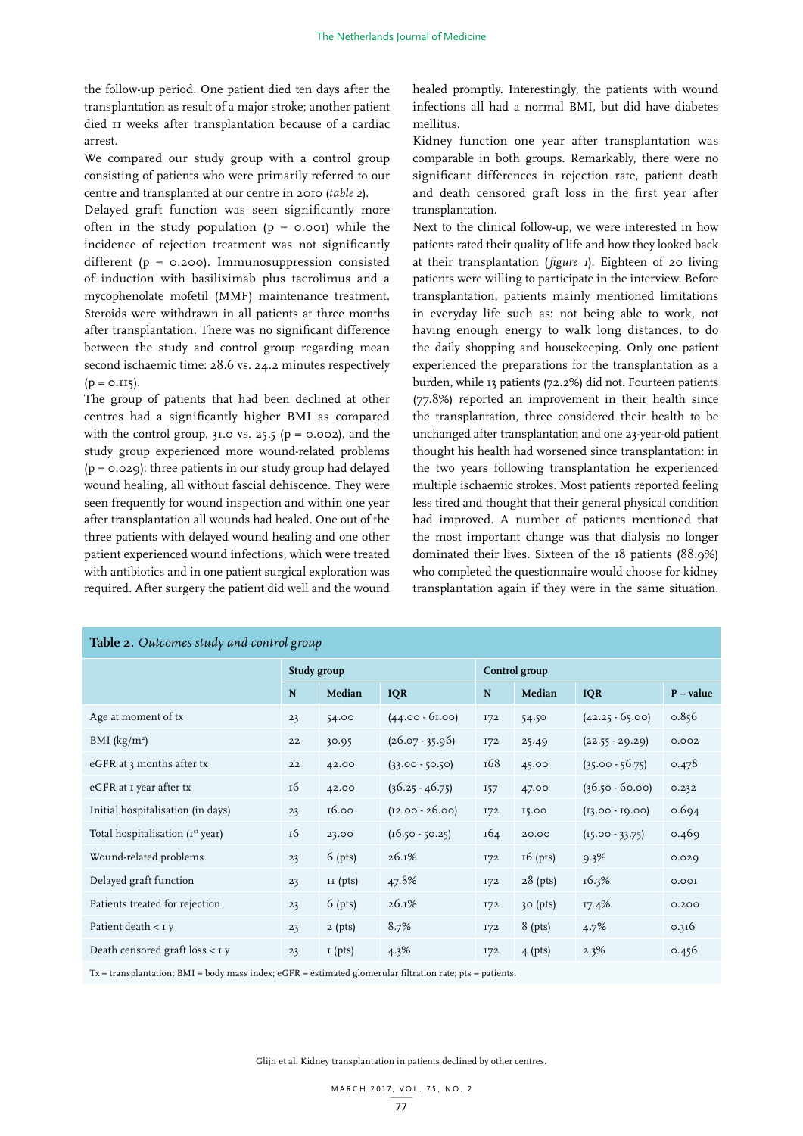the follow-up period. One patient died ten days after the transplantation as result of a major stroke; another patient died 11 weeks after transplantation because of a cardiac arrest.

We compared our study group with a control group consisting of patients who were primarily referred to our centre and transplanted at our centre in 2010 (*table 2*).

Delayed graft function was seen significantly more often in the study population  $(p = 0.001)$  while the incidence of rejection treatment was not significantly different (p = 0.200). Immunosuppression consisted of induction with basiliximab plus tacrolimus and a mycophenolate mofetil (MMF) maintenance treatment. Steroids were withdrawn in all patients at three months after transplantation. There was no significant difference between the study and control group regarding mean second ischaemic time: 28.6 vs. 24.2 minutes respectively  $(p = 0.115)$ .

The group of patients that had been declined at other centres had a significantly higher BMI as compared with the control group,  $3I.0$  vs. 25.5 ( $p = 0.002$ ), and the study group experienced more wound-related problems  $(p = 0.029)$ : three patients in our study group had delayed wound healing, all without fascial dehiscence. They were seen frequently for wound inspection and within one year after transplantation all wounds had healed. One out of the three patients with delayed wound healing and one other patient experienced wound infections, which were treated with antibiotics and in one patient surgical exploration was required. After surgery the patient did well and the wound

healed promptly. Interestingly, the patients with wound infections all had a normal BMI, but did have diabetes mellitus.

Kidney function one year after transplantation was comparable in both groups. Remarkably, there were no significant differences in rejection rate, patient death and death censored graft loss in the first year after transplantation.

Next to the clinical follow-up, we were interested in how patients rated their quality of life and how they looked back at their transplantation (*figure 1*). Eighteen of 20 living patients were willing to participate in the interview. Before transplantation, patients mainly mentioned limitations in everyday life such as: not being able to work, not having enough energy to walk long distances, to do the daily shopping and housekeeping. Only one patient experienced the preparations for the transplantation as a burden, while 13 patients (72.2%) did not. Fourteen patients (77.8%) reported an improvement in their health since the transplantation, three considered their health to be unchanged after transplantation and one 23-year-old patient thought his health had worsened since transplantation: in the two years following transplantation he experienced multiple ischaemic strokes. Most patients reported feeling less tired and thought that their general physical condition had improved. A number of patients mentioned that the most important change was that dialysis no longer dominated their lives. Sixteen of the 18 patients (88.9%) who completed the questionnaire would choose for kidney transplantation again if they were in the same situation.

| <b>Table 2.</b> Outcomes study and control group |             |            |                   |               |            |                   |             |  |  |
|--------------------------------------------------|-------------|------------|-------------------|---------------|------------|-------------------|-------------|--|--|
|                                                  | Study group |            |                   | Control group |            |                   |             |  |  |
|                                                  | N           | Median     | <b>IQR</b>        | N             | Median     | <b>IQR</b>        | $P - value$ |  |  |
| Age at moment of tx                              | 23          | 54.00      | $(44.00 - 61.00)$ | 172           | 54.50      | $(42.25 - 65.00)$ | 0.856       |  |  |
| BMI $(kg/m2)$                                    | 22          | 30.95      | $(26.07 - 35.96)$ | 172           | 25.49      | $(22.55 - 29.29)$ | 0.002       |  |  |
| eGFR at 3 months after tx                        | 22          | 42.00      | $(33.00 - 50.50)$ | 168           | 45.00      | $(35.00 - 56.75)$ | 0.478       |  |  |
| eGFR at I year after tx                          | 16          | 42.00      | $(36.25 - 46.75)$ | 157           | 47.00      | $(36.50 - 60.00)$ | 0.232       |  |  |
| Initial hospitalisation (in days)                | 23          | 16.00      | $(12.00 - 26.00)$ | 172           | 15.00      | $(13.00 - 19.00)$ | 0.694       |  |  |
| Total hospitalisation $(Ist year)$               | 16          | 23.00      | $(16.50 - 50.25)$ | 164           | 20.00      | $(15.00 - 33.75)$ | 0.469       |  |  |
| Wound-related problems                           | 23          | $6$ (pts)  | 26.1%             | <b>172</b>    | $16$ (pts) | 9.3%              | 0.029       |  |  |
| Delayed graft function                           | 23          | $II$ (pts) | 47.8%             | 172           | $28$ (pts) | 16.3%             | 0.001       |  |  |
| Patients treated for rejection                   | 23          | $6$ (pts)  | 26.1%             | 172           | 30 (pts)   | 17.4%             | 0.200       |  |  |
| Patient death $<$ 1 y                            | 23          | $2$ (pts)  | 8.7%              | <b>172</b>    | 8 (pts)    | 4.7%              | 0.316       |  |  |
| Death censored graft $loss < I y$                | 23          | $I$ (pts)  | 4.3%              | 172           | $4$ (pts)  | 2.3%              | 0.456       |  |  |
|                                                  |             |            |                   |               |            |                   |             |  |  |

Tx = transplantation; BMI = body mass index; eGFR = estimated glomerular filtration rate; pts = patients.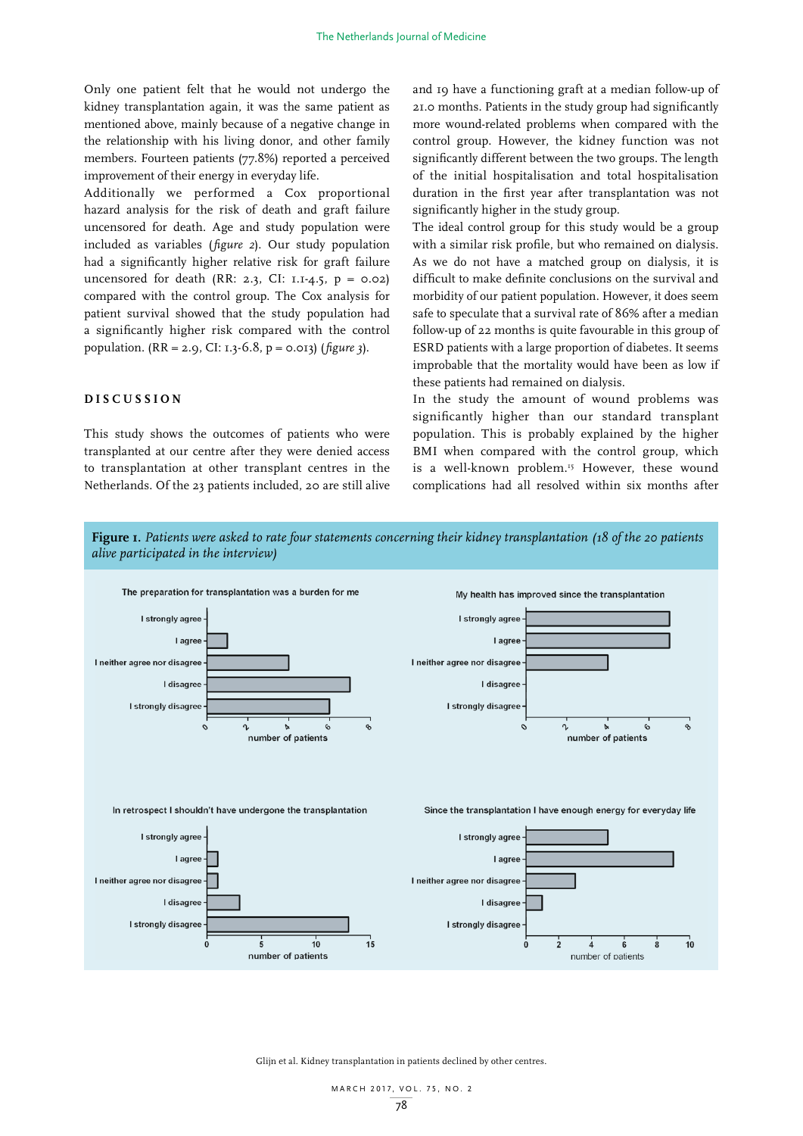Only one patient felt that he would not undergo the kidney transplantation again, it was the same patient as mentioned above, mainly because of a negative change in the relationship with his living donor, and other family members. Fourteen patients (77.8%) reported a perceived improvement of their energy in everyday life.

Additionally we performed a Cox proportional hazard analysis for the risk of death and graft failure uncensored for death. Age and study population were included as variables (*figure 2*). Our study population had a significantly higher relative risk for graft failure uncensored for death (RR: 2.3, CI: 1.1-4.5,  $p = 0.02$ ) compared with the control group. The Cox analysis for patient survival showed that the study population had a significantly higher risk compared with the control population. (RR = 2.9, CI: 1.3-6.8, p = 0.013) (*figure 3*).

# **DISCUSSION**

This study shows the outcomes of patients who were transplanted at our centre after they were denied access to transplantation at other transplant centres in the Netherlands. Of the 23 patients included, 20 are still alive and 19 have a functioning graft at a median follow-up of 21.0 months. Patients in the study group had significantly more wound-related problems when compared with the control group. However, the kidney function was not significantly different between the two groups. The length of the initial hospitalisation and total hospitalisation duration in the first year after transplantation was not significantly higher in the study group.

The ideal control group for this study would be a group with a similar risk profile, but who remained on dialysis. As we do not have a matched group on dialysis, it is difficult to make definite conclusions on the survival and morbidity of our patient population. However, it does seem safe to speculate that a survival rate of 86% after a median follow-up of 22 months is quite favourable in this group of ESRD patients with a large proportion of diabetes. It seems improbable that the mortality would have been as low if these patients had remained on dialysis.

In the study the amount of wound problems was significantly higher than our standard transplant population. This is probably explained by the higher BMI when compared with the control group, which is a well-known problem.<sup>15</sup> However, these wound complications had all resolved within six months after

**Figure 1.** *Patients were asked to rate four statements concerning their kidney transplantation (18 of the 20 patients alive participated in the interview)*

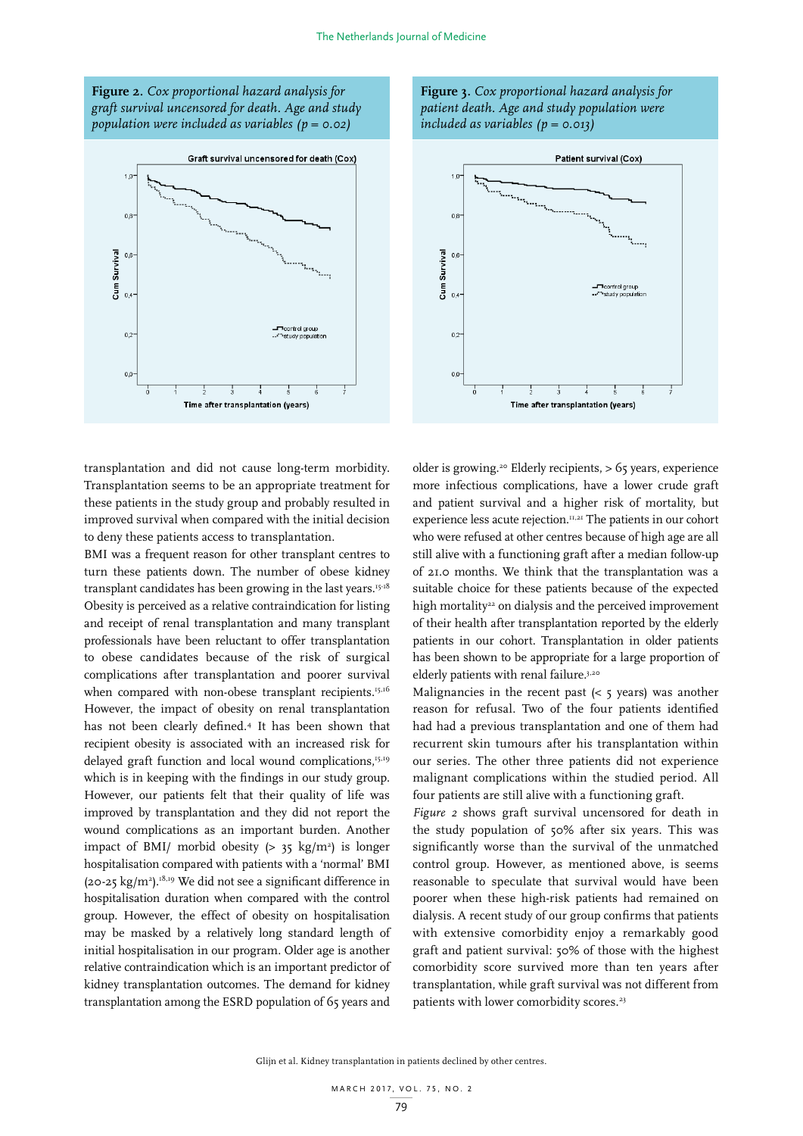**Figure 2.** *Cox proportional hazard analysis for graft survival uncensored for death. Age and study population were included as variables (p = 0.02)*



**Figure 3.** *Cox proportional hazard analysis for patient death. Age and study population were included as variables (p = 0.013)*



transplantation and did not cause long-term morbidity. Transplantation seems to be an appropriate treatment for these patients in the study group and probably resulted in improved survival when compared with the initial decision to deny these patients access to transplantation.

BMI was a frequent reason for other transplant centres to turn these patients down. The number of obese kidney transplant candidates has been growing in the last years.<sup>15-18</sup> Obesity is perceived as a relative contraindication for listing and receipt of renal transplantation and many transplant professionals have been reluctant to offer transplantation to obese candidates because of the risk of surgical complications after transplantation and poorer survival when compared with non-obese transplant recipients.<sup>15,16</sup> However, the impact of obesity on renal transplantation has not been clearly defined.4 It has been shown that recipient obesity is associated with an increased risk for delayed graft function and local wound complications,<sup>15,19</sup> which is in keeping with the findings in our study group. However, our patients felt that their quality of life was improved by transplantation and they did not report the wound complications as an important burden. Another impact of BMI/ morbid obesity  $(> 35 \text{ kg/m}^2)$  is longer hospitalisation compared with patients with a 'normal' BMI  $(20-25 \text{ kg/m}^2)$ .<sup>18,19</sup> We did not see a significant difference in hospitalisation duration when compared with the control group. However, the effect of obesity on hospitalisation may be masked by a relatively long standard length of initial hospitalisation in our program. Older age is another relative contraindication which is an important predictor of kidney transplantation outcomes. The demand for kidney transplantation among the ESRD population of 65 years and

older is growing.20 Elderly recipients, > 65 years, experience more infectious complications, have a lower crude graft and patient survival and a higher risk of mortality, but experience less acute rejection.11,21 The patients in our cohort who were refused at other centres because of high age are all still alive with a functioning graft after a median follow-up of 21.0 months. We think that the transplantation was a suitable choice for these patients because of the expected high mortality<sup>22</sup> on dialysis and the perceived improvement of their health after transplantation reported by the elderly patients in our cohort. Transplantation in older patients has been shown to be appropriate for a large proportion of elderly patients with renal failure.<sup>3,20</sup>

Malignancies in the recent past  $(<$  5 years) was another reason for refusal. Two of the four patients identified had had a previous transplantation and one of them had recurrent skin tumours after his transplantation within our series. The other three patients did not experience malignant complications within the studied period. All four patients are still alive with a functioning graft.

*Figure 2* shows graft survival uncensored for death in the study population of 50% after six years. This was significantly worse than the survival of the unmatched control group. However, as mentioned above, is seems reasonable to speculate that survival would have been poorer when these high-risk patients had remained on dialysis. A recent study of our group confirms that patients with extensive comorbidity enjoy a remarkably good graft and patient survival: 50% of those with the highest comorbidity score survived more than ten years after transplantation, while graft survival was not different from patients with lower comorbidity scores.<sup>23</sup>